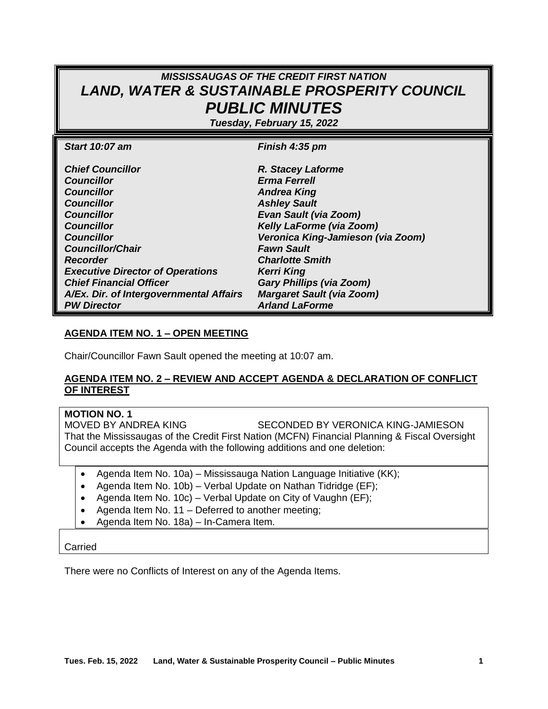# *MISSISSAUGAS OF THE CREDIT FIRST NATION LAND, WATER & SUSTAINABLE PROSPERITY COUNCIL PUBLIC MINUTES*

*Tuesday, February 15, 2022*

| <b>Start 10:07 am</b>                   | Finish 4:35 pm                    |
|-----------------------------------------|-----------------------------------|
| <b>Chief Councillor</b>                 | R. Stacey Laforme                 |
| <b>Councillor</b>                       | <b>Erma Ferrell</b>               |
| <b>Councillor</b>                       | <b>Andrea King</b>                |
| <b>Councillor</b>                       | <b>Ashley Sault</b>               |
| <b>Councillor</b>                       | <b>Evan Sault (via Zoom)</b>      |
| <b>Councillor</b>                       | Kelly LaForme (via Zoom)          |
| <b>Councillor</b>                       | Veronica King-Jamieson (via Zoom) |
| <b>Councillor/Chair</b>                 | <b>Fawn Sault</b>                 |
| <b>Recorder</b>                         | <b>Charlotte Smith</b>            |
| <b>Executive Director of Operations</b> | <b>Kerri King</b>                 |
| <b>Chief Financial Officer</b>          | <b>Gary Phillips (via Zoom)</b>   |
| A/Ex. Dir. of Intergovernmental Affairs | <b>Margaret Sault (via Zoom)</b>  |
| <b>PW Director</b>                      | <b>Arland LaForme</b>             |

#### **AGENDA ITEM NO. 1 – OPEN MEETING**

Chair/Councillor Fawn Sault opened the meeting at 10:07 am.

#### **AGENDA ITEM NO. 2 – REVIEW AND ACCEPT AGENDA & DECLARATION OF CONFLICT OF INTEREST**

**MOTION NO. 1** SECONDED BY VERONICA KING-JAMIESON That the Mississaugas of the Credit First Nation (MCFN) Financial Planning & Fiscal Oversight Council accepts the Agenda with the following additions and one deletion:

- Agenda Item No. 10a) Mississauga Nation Language Initiative (KK);
- Agenda Item No. 10b) Verbal Update on Nathan Tidridge (EF);
- Agenda Item No. 10c) Verbal Update on City of Vaughn (EF);
- Agenda Item No. 11 Deferred to another meeting;
- Agenda Item No. 18a) In-Camera Item.

#### Carried

There were no Conflicts of Interest on any of the Agenda Items.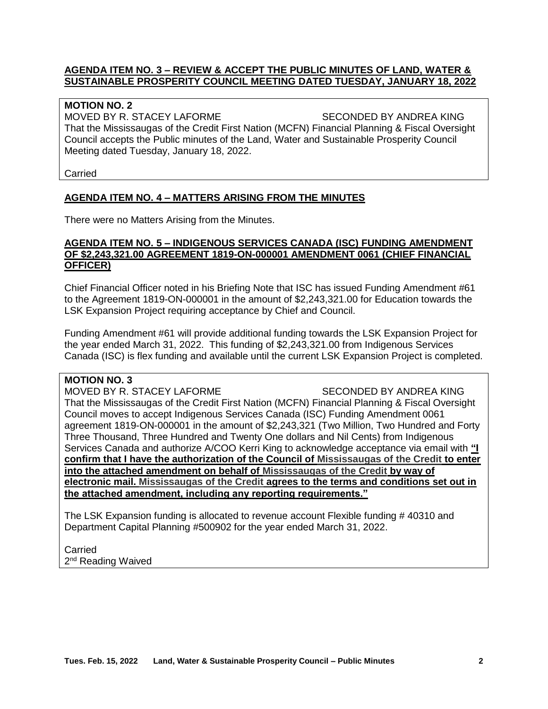#### **AGENDA ITEM NO. 3 – REVIEW & ACCEPT THE PUBLIC MINUTES OF LAND, WATER & SUSTAINABLE PROSPERITY COUNCIL MEETING DATED TUESDAY, JANUARY 18, 2022**

#### **MOTION NO. 2**

MOVED BY R. STACEY LAFORME SECONDED BY ANDREA KING That the Mississaugas of the Credit First Nation (MCFN) Financial Planning & Fiscal Oversight Council accepts the Public minutes of the Land, Water and Sustainable Prosperity Council Meeting dated Tuesday, January 18, 2022.

Carried

#### **AGENDA ITEM NO. 4 – MATTERS ARISING FROM THE MINUTES**

There were no Matters Arising from the Minutes.

#### **AGENDA ITEM NO. 5 – INDIGENOUS SERVICES CANADA (ISC) FUNDING AMENDMENT OF \$2,243,321.00 AGREEMENT 1819-ON-000001 AMENDMENT 0061 (CHIEF FINANCIAL OFFICER)**

Chief Financial Officer noted in his Briefing Note that ISC has issued Funding Amendment #61 to the Agreement 1819-ON-000001 in the amount of \$2,243,321.00 for Education towards the LSK Expansion Project requiring acceptance by Chief and Council.

Funding Amendment #61 will provide additional funding towards the LSK Expansion Project for the year ended March 31, 2022. This funding of \$2,243,321.00 from Indigenous Services Canada (ISC) is flex funding and available until the current LSK Expansion Project is completed.

#### **MOTION NO. 3**

MOVED BY R. STACEY LAFORME SECONDED BY ANDREA KING That the Mississaugas of the Credit First Nation (MCFN) Financial Planning & Fiscal Oversight Council moves to accept Indigenous Services Canada (ISC) Funding Amendment 0061 agreement 1819-ON-000001 in the amount of \$2,243,321 (Two Million, Two Hundred and Forty Three Thousand, Three Hundred and Twenty One dollars and Nil Cents) from Indigenous Services Canada and authorize A/COO Kerri King to acknowledge acceptance via email with **"I confirm that I have the authorization of the Council of Mississaugas of the Credit to enter into the attached amendment on behalf of Mississaugas of the Credit by way of electronic mail. Mississaugas of the Credit agrees to the terms and conditions set out in the attached amendment, including any reporting requirements."**

The LSK Expansion funding is allocated to revenue account Flexible funding # 40310 and Department Capital Planning #500902 for the year ended March 31, 2022.

Carried

2<sup>nd</sup> Reading Waived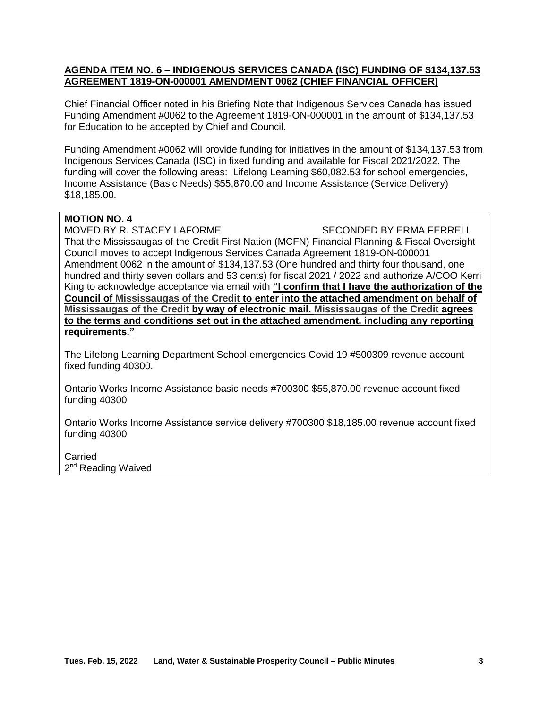#### **AGENDA ITEM NO. 6 – INDIGENOUS SERVICES CANADA (ISC) FUNDING OF \$134,137.53 AGREEMENT 1819-ON-000001 AMENDMENT 0062 (CHIEF FINANCIAL OFFICER)**

Chief Financial Officer noted in his Briefing Note that Indigenous Services Canada has issued Funding Amendment #0062 to the Agreement 1819-ON-000001 in the amount of \$134,137.53 for Education to be accepted by Chief and Council.

Funding Amendment #0062 will provide funding for initiatives in the amount of \$134,137.53 from Indigenous Services Canada (ISC) in fixed funding and available for Fiscal 2021/2022. The funding will cover the following areas: Lifelong Learning \$60,082.53 for school emergencies, Income Assistance (Basic Needs) \$55,870.00 and Income Assistance (Service Delivery) \$18,185.00.

### **MOTION NO. 4**

MOVED BY R. STACEY LAFORME SECONDED BY ERMA FERRELL

That the Mississaugas of the Credit First Nation (MCFN) Financial Planning & Fiscal Oversight Council moves to accept Indigenous Services Canada Agreement 1819-ON-000001 Amendment 0062 in the amount of \$134,137.53 (One hundred and thirty four thousand, one hundred and thirty seven dollars and 53 cents) for fiscal 2021 / 2022 and authorize A/COO Kerri King to acknowledge acceptance via email with **"I confirm that I have the authorization of the Council of Mississaugas of the Credit to enter into the attached amendment on behalf of Mississaugas of the Credit by way of electronic mail. Mississaugas of the Credit agrees to the terms and conditions set out in the attached amendment, including any reporting requirements."**

The Lifelong Learning Department School emergencies Covid 19 #500309 revenue account fixed funding 40300.

Ontario Works Income Assistance basic needs #700300 \$55,870.00 revenue account fixed funding 40300

Ontario Works Income Assistance service delivery #700300 \$18,185.00 revenue account fixed funding 40300

**Carried** 2<sup>nd</sup> Reading Waived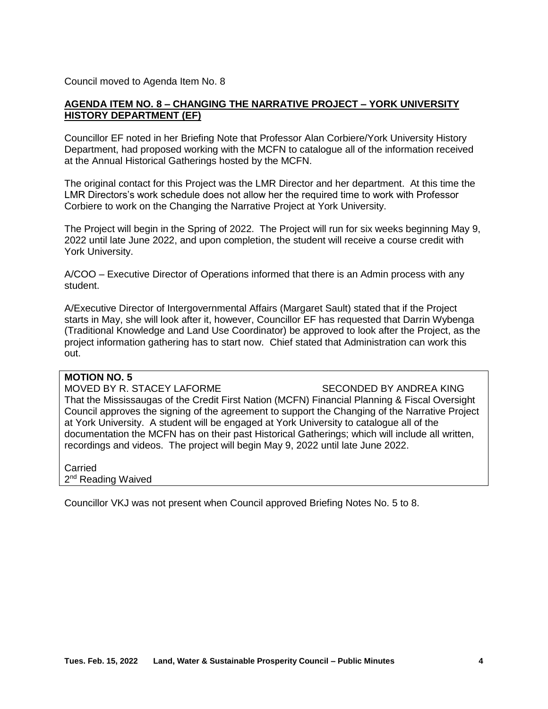Council moved to Agenda Item No. 8

#### **AGENDA ITEM NO. 8 – CHANGING THE NARRATIVE PROJECT – YORK UNIVERSITY HISTORY DEPARTMENT (EF)**

Councillor EF noted in her Briefing Note that Professor Alan Corbiere/York University History Department, had proposed working with the MCFN to catalogue all of the information received at the Annual Historical Gatherings hosted by the MCFN.

The original contact for this Project was the LMR Director and her department. At this time the LMR Directors's work schedule does not allow her the required time to work with Professor Corbiere to work on the Changing the Narrative Project at York University.

The Project will begin in the Spring of 2022. The Project will run for six weeks beginning May 9, 2022 until late June 2022, and upon completion, the student will receive a course credit with York University.

A/COO – Executive Director of Operations informed that there is an Admin process with any student.

A/Executive Director of Intergovernmental Affairs (Margaret Sault) stated that if the Project starts in May, she will look after it, however, Councillor EF has requested that Darrin Wybenga (Traditional Knowledge and Land Use Coordinator) be approved to look after the Project, as the project information gathering has to start now. Chief stated that Administration can work this out.

#### **MOTION NO. 5**

MOVED BY R. STACEY LAFORME SECONDED BY ANDREA KING That the Mississaugas of the Credit First Nation (MCFN) Financial Planning & Fiscal Oversight Council approves the signing of the agreement to support the Changing of the Narrative Project at York University. A student will be engaged at York University to catalogue all of the documentation the MCFN has on their past Historical Gatherings; which will include all written, recordings and videos. The project will begin May 9, 2022 until late June 2022.

Carried 2<sup>nd</sup> Reading Waived

Councillor VKJ was not present when Council approved Briefing Notes No. 5 to 8.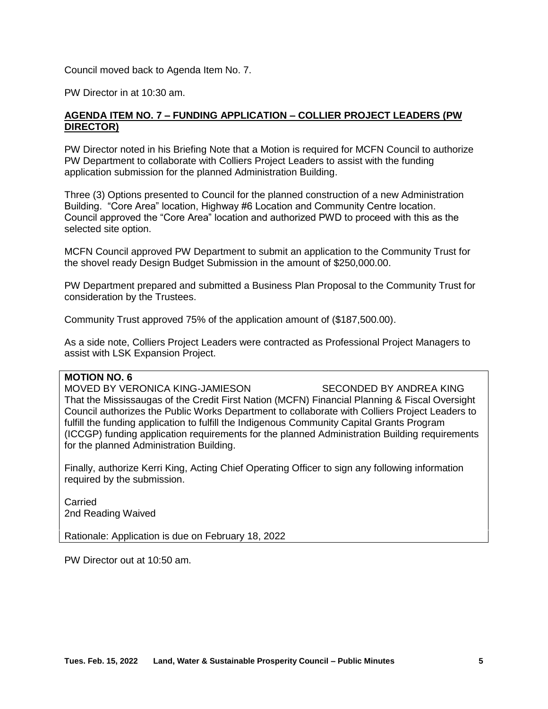Council moved back to Agenda Item No. 7.

PW Director in at 10:30 am.

#### **AGENDA ITEM NO. 7 – FUNDING APPLICATION – COLLIER PROJECT LEADERS (PW DIRECTOR)**

PW Director noted in his Briefing Note that a Motion is required for MCFN Council to authorize PW Department to collaborate with Colliers Project Leaders to assist with the funding application submission for the planned Administration Building.

Three (3) Options presented to Council for the planned construction of a new Administration Building. "Core Area" location, Highway #6 Location and Community Centre location. Council approved the "Core Area" location and authorized PWD to proceed with this as the selected site option.

MCFN Council approved PW Department to submit an application to the Community Trust for the shovel ready Design Budget Submission in the amount of \$250,000.00.

PW Department prepared and submitted a Business Plan Proposal to the Community Trust for consideration by the Trustees.

Community Trust approved 75% of the application amount of (\$187,500.00).

As a side note, Colliers Project Leaders were contracted as Professional Project Managers to assist with LSK Expansion Project.

#### **MOTION NO. 6**

MOVED BY VERONICA KING-JAMIESON SECONDED BY ANDREA KING That the Mississaugas of the Credit First Nation (MCFN) Financial Planning & Fiscal Oversight Council authorizes the Public Works Department to collaborate with Colliers Project Leaders to fulfill the funding application to fulfill the Indigenous Community Capital Grants Program (ICCGP) funding application requirements for the planned Administration Building requirements for the planned Administration Building.

Finally, authorize Kerri King, Acting Chief Operating Officer to sign any following information required by the submission.

Carried 2nd Reading Waived

Rationale: Application is due on February 18, 2022

PW Director out at 10:50 am.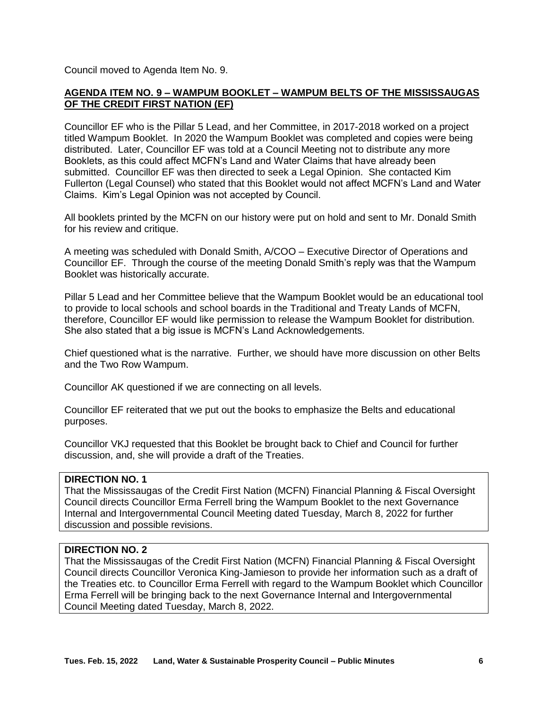Council moved to Agenda Item No. 9.

#### **AGENDA ITEM NO. 9 – WAMPUM BOOKLET – WAMPUM BELTS OF THE MISSISSAUGAS OF THE CREDIT FIRST NATION (EF)**

Councillor EF who is the Pillar 5 Lead, and her Committee, in 2017-2018 worked on a project titled Wampum Booklet. In 2020 the Wampum Booklet was completed and copies were being distributed. Later, Councillor EF was told at a Council Meeting not to distribute any more Booklets, as this could affect MCFN's Land and Water Claims that have already been submitted. Councillor EF was then directed to seek a Legal Opinion. She contacted Kim Fullerton (Legal Counsel) who stated that this Booklet would not affect MCFN's Land and Water Claims. Kim's Legal Opinion was not accepted by Council.

All booklets printed by the MCFN on our history were put on hold and sent to Mr. Donald Smith for his review and critique.

A meeting was scheduled with Donald Smith, A/COO – Executive Director of Operations and Councillor EF. Through the course of the meeting Donald Smith's reply was that the Wampum Booklet was historically accurate.

Pillar 5 Lead and her Committee believe that the Wampum Booklet would be an educational tool to provide to local schools and school boards in the Traditional and Treaty Lands of MCFN, therefore, Councillor EF would like permission to release the Wampum Booklet for distribution. She also stated that a big issue is MCFN's Land Acknowledgements.

Chief questioned what is the narrative. Further, we should have more discussion on other Belts and the Two Row Wampum.

Councillor AK questioned if we are connecting on all levels.

Councillor EF reiterated that we put out the books to emphasize the Belts and educational purposes.

Councillor VKJ requested that this Booklet be brought back to Chief and Council for further discussion, and, she will provide a draft of the Treaties.

#### **DIRECTION NO. 1**

That the Mississaugas of the Credit First Nation (MCFN) Financial Planning & Fiscal Oversight Council directs Councillor Erma Ferrell bring the Wampum Booklet to the next Governance Internal and Intergovernmental Council Meeting dated Tuesday, March 8, 2022 for further discussion and possible revisions.

#### **DIRECTION NO. 2**

That the Mississaugas of the Credit First Nation (MCFN) Financial Planning & Fiscal Oversight Council directs Councillor Veronica King-Jamieson to provide her information such as a draft of the Treaties etc. to Councillor Erma Ferrell with regard to the Wampum Booklet which Councillor Erma Ferrell will be bringing back to the next Governance Internal and Intergovernmental Council Meeting dated Tuesday, March 8, 2022.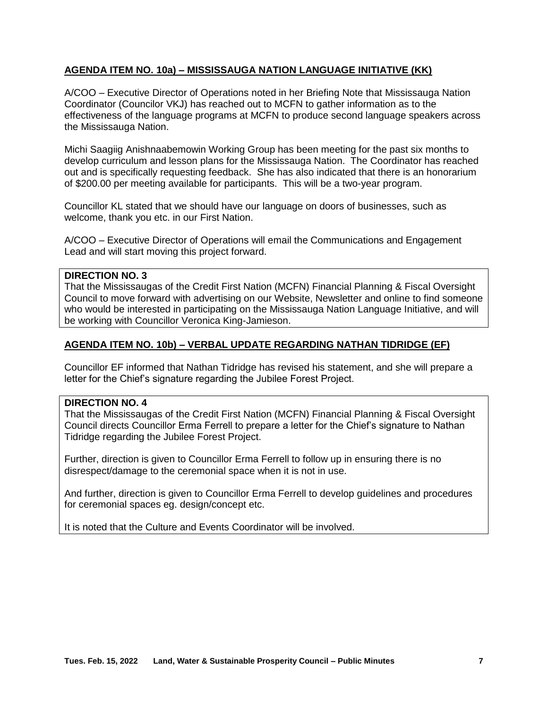#### **AGENDA ITEM NO. 10a) – MISSISSAUGA NATION LANGUAGE INITIATIVE (KK)**

A/COO – Executive Director of Operations noted in her Briefing Note that Mississauga Nation Coordinator (Councilor VKJ) has reached out to MCFN to gather information as to the effectiveness of the language programs at MCFN to produce second language speakers across the Mississauga Nation.

Michi Saagiig Anishnaabemowin Working Group has been meeting for the past six months to develop curriculum and lesson plans for the Mississauga Nation. The Coordinator has reached out and is specifically requesting feedback. She has also indicated that there is an honorarium of \$200.00 per meeting available for participants. This will be a two-year program.

Councillor KL stated that we should have our language on doors of businesses, such as welcome, thank you etc. in our First Nation.

A/COO – Executive Director of Operations will email the Communications and Engagement Lead and will start moving this project forward.

#### **DIRECTION NO. 3**

That the Mississaugas of the Credit First Nation (MCFN) Financial Planning & Fiscal Oversight Council to move forward with advertising on our Website, Newsletter and online to find someone who would be interested in participating on the Mississauga Nation Language Initiative, and will be working with Councillor Veronica King-Jamieson.

#### **AGENDA ITEM NO. 10b) – VERBAL UPDATE REGARDING NATHAN TIDRIDGE (EF)**

Councillor EF informed that Nathan Tidridge has revised his statement, and she will prepare a letter for the Chief's signature regarding the Jubilee Forest Project.

#### **DIRECTION NO. 4**

That the Mississaugas of the Credit First Nation (MCFN) Financial Planning & Fiscal Oversight Council directs Councillor Erma Ferrell to prepare a letter for the Chief's signature to Nathan Tidridge regarding the Jubilee Forest Project.

Further, direction is given to Councillor Erma Ferrell to follow up in ensuring there is no disrespect/damage to the ceremonial space when it is not in use.

And further, direction is given to Councillor Erma Ferrell to develop guidelines and procedures for ceremonial spaces eg. design/concept etc.

It is noted that the Culture and Events Coordinator will be involved.